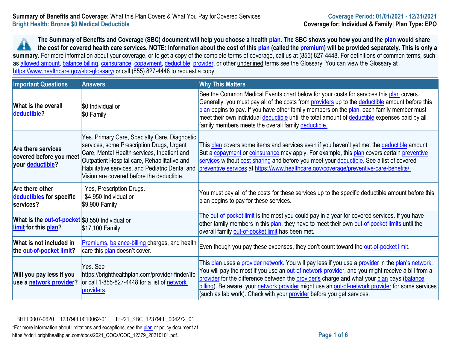**The Summary of Benefits and Coverage (SBC) document will help you choose a health [plan.](https://www.healthcare.gov/sbc-glossary/#plan) The SBC shows you how you and the [plan](https://www.healthcare.gov/sbc-glossary/#plan) would share**  2 **the cost for covered health care services. NOTE: Information about the cost of this [plan](https://www.healthcare.gov/sbc-glossary/#plan) (called the [premium\)](https://www.healthcare.gov/sbc-glossary/#premium) will be provided separately. This is only a**  summary. For more information about your coverage, or to get a copy of the complete terms of coverage, call us at (855) 827-4448. For definitions of common terms, such as [allowed amount,](https://www.healthcare.gov/sbc-glossary/#allowed-amount) [balance billing,](https://www.healthcare.gov/sbc-glossary/#balance-billing) [coinsurance,](https://www.healthcare.gov/sbc-glossary/#coinsurance) [copayment,](https://www.healthcare.gov/sbc-glossary/#copayment) [deductible,](https://www.healthcare.gov/sbc-glossary/#deductible) [provider,](https://www.healthcare.gov/sbc-glossary/#provider) or other underlined terms see the Glossary. You can view the Glossary at <https://www.healthcare.gov/sbc-glossary/> or call (855) 827-4448 to request a copy.

| <b>Important Questions</b>                                                       | <b>Answers</b>                                                                                                                                                                                                                                                                            | <b>Why This Matters</b>                                                                                                                                                                                                                                                                                                                                                                                                                                                          |
|----------------------------------------------------------------------------------|-------------------------------------------------------------------------------------------------------------------------------------------------------------------------------------------------------------------------------------------------------------------------------------------|----------------------------------------------------------------------------------------------------------------------------------------------------------------------------------------------------------------------------------------------------------------------------------------------------------------------------------------------------------------------------------------------------------------------------------------------------------------------------------|
| What is the overall<br>deductible?                                               | \$0 Individual or<br>\$0 Family                                                                                                                                                                                                                                                           | See the Common Medical Events chart below for your costs for services this plan covers.<br>Generally, you must pay all of the costs from providers up to the deductible amount before this<br>plan begins to pay. If you have other family members on the plan, each family member must<br>meet their own individual deductible until the total amount of deductible expenses paid by all<br>family members meets the overall family deductible.                                 |
| <b>Are there services</b><br>covered before you meet<br>your <b>deductible</b> ? | Yes. Primary Care, Specialty Care, Diagnostic<br>services, some Prescription Drugs, Urgent<br>Care, Mental Health services, Inpatient and<br>Outpatient Hospital care, Rehabilitative and<br>Habilitative services, and Pediatric Dental and<br>Vision are covered before the deductible. | This plan covers some items and services even if you haven't yet met the deductible amount.<br>But a copayment or coinsurance may apply. For example, this plan covers certain preventive<br>services without cost sharing and before you meet your deductible. See a list of covered<br>preventive services at https://www.healthcare.gov/coverage/preventive-care-benefits/.                                                                                                   |
| Are there other<br>deductibles for specific<br>services?                         | Yes, Prescription Drugs.<br>\$4,950 Individual or<br>$$9,900$ Family                                                                                                                                                                                                                      | You must pay all of the costs for these services up to the specific deductible amount before this<br>plan begins to pay for these services.                                                                                                                                                                                                                                                                                                                                      |
| What is the <b>out-of-pocket</b> \$8,550 Individual or<br>limit for this plan?   | \$17,100 Family                                                                                                                                                                                                                                                                           | The out-of-pocket limit is the most you could pay in a year for covered services. If you have<br>other family members in this plan, they have to meet their own out-of-pocket limits until the<br>overall family out-of-pocket limit has been met.                                                                                                                                                                                                                               |
| What is not included in<br>the out-of-pocket limit?                              | Premiums, balance-billing charges, and health<br>care this plan doesn't cover.                                                                                                                                                                                                            | Even though you pay these expenses, they don't count toward the out-of-pocket limit.                                                                                                                                                                                                                                                                                                                                                                                             |
| Will you pay less if you<br>use a network provider?                              | Yes. See<br>https://brighthealthplan.com/provider-finder/ifp<br>or call 1-855-827-4448 for a list of network<br>providers                                                                                                                                                                 | This plan uses a provider network. You will pay less if you use a provider in the plan's network.<br>You will pay the most if you use an out-of-network provider, and you might receive a bill from a<br>provider for the difference between the provider's charge and what your plan pays (balance<br>billing). Be aware, your network provider might use an out-of-network provider for some services<br>(such as lab work). Check with your provider before you get services. |

\*For more information about limitations and exceptions, see the plan or policy document at https://cdn1.brighthealthplan.com/docs/2021\_COCs/COC\_12379\_20210101.pdf. **Page 1 of 6** BHFL0007-0620 12379FL0010062-01 IFP21\_SBC\_12379FL\_004272\_01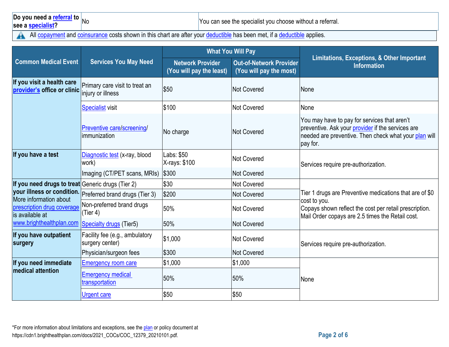# **Do you need a [referral](https://www.healthcare.gov/sbc-glossary/#referral) to** No

You can see the specialist you choose without a referral.

All [copayment](https://www.healthcare.gov/sbc-glossary/#copayment) and [coinsurance](https://www.healthcare.gov/sbc-glossary/#coinsurance) costs shown in this chart are after your [deductible](https://www.healthcare.gov/sbc-glossary/#deductible) has been met, if a deductible applies.  $\blacktriangle$ 

|                                                           |                                                           | <b>What You Will Pay</b>                            |                                                           |                                                                                                                                                                                       |  |
|-----------------------------------------------------------|-----------------------------------------------------------|-----------------------------------------------------|-----------------------------------------------------------|---------------------------------------------------------------------------------------------------------------------------------------------------------------------------------------|--|
| <b>Common Medical Event</b>                               | <b>Services You May Need</b>                              | <b>Network Provider</b><br>(You will pay the least) | <b>Out-of-Network Provider</b><br>(You will pay the most) | Limitations, Exceptions, & Other Important<br><b>Information</b>                                                                                                                      |  |
| If you visit a health care<br>provider's office or clinic | Primary care visit to treat an<br>injury or illness       | \$50                                                | Not Covered                                               | None                                                                                                                                                                                  |  |
|                                                           | <b>Specialist visit</b>                                   | \$100                                               | Not Covered                                               | None                                                                                                                                                                                  |  |
|                                                           | Preventive care/screening/<br>limmunization               | No charge                                           | Not Covered                                               | You may have to pay for services that aren't<br>preventive. Ask your provider if the services are<br>needed are preventive. Then check what your plan will<br>pay for.                |  |
| If you have a test                                        | Diagnostic test (x-ray, blood<br>work)                    | Labs: \$50<br>X-rays: \$100                         | Not Covered                                               | Services require pre-authorization.                                                                                                                                                   |  |
|                                                           | Imaging (CT/PET scans, MRIs)                              | \$300                                               | Not Covered                                               |                                                                                                                                                                                       |  |
| If you need drugs to treat Generic drugs (Tier 2)         |                                                           | \$30                                                | Not Covered                                               | Tier 1 drugs are Preventive medications that are of \$0<br>cost to you.<br>Copays shown reflect the cost per retail prescription.<br>Mail Order copays are 2.5 times the Retail cost. |  |
| More information about                                    | your illness or condition. Preferred brand drugs (Tier 3) | \$200                                               | Not Covered                                               |                                                                                                                                                                                       |  |
| prescription drug coverage<br>is available at             | Non-preferred brand drugs<br>(Tier 4)                     | 50%                                                 | Not Covered                                               |                                                                                                                                                                                       |  |
| www.brighthealthplan.com                                  | <b>Specialty drugs (Tier5)</b>                            | 50%                                                 | Not Covered                                               |                                                                                                                                                                                       |  |
| If you have outpatient<br>surgery                         | Facility fee (e.g., ambulatory<br>surgery center)         | \$1,000                                             | Not Covered                                               | Services require pre-authorization.                                                                                                                                                   |  |
|                                                           | Physician/surgeon fees                                    | \$300                                               | Not Covered                                               |                                                                                                                                                                                       |  |
| If you need immediate                                     | <b>Emergency room care</b>                                | \$1,000                                             | \$1,000                                                   |                                                                                                                                                                                       |  |
| <b>medical attention</b>                                  | <b>Emergency medical</b><br>transportation                | 50%                                                 | 50%                                                       | None                                                                                                                                                                                  |  |
|                                                           | Urgent care                                               | \$50                                                | \$50                                                      |                                                                                                                                                                                       |  |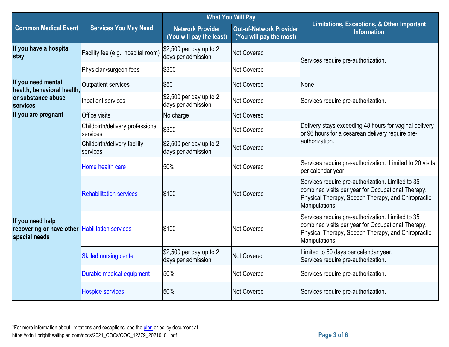|                                                                                     | <b>Services You May Need</b>                 | <b>What You Will Pay</b>                                             |                                                           |                                                                                                                                                                                 |  |
|-------------------------------------------------------------------------------------|----------------------------------------------|----------------------------------------------------------------------|-----------------------------------------------------------|---------------------------------------------------------------------------------------------------------------------------------------------------------------------------------|--|
| <b>Common Medical Event</b>                                                         |                                              | <b>Network Provider</b><br>(You will pay the least)                  | <b>Out-of-Network Provider</b><br>(You will pay the most) | Limitations, Exceptions, & Other Important<br><b>Information</b>                                                                                                                |  |
| If you have a hospital<br>stay                                                      | Facility fee (e.g., hospital room)           | $$2,500$ per day up to 2<br><b>Not Covered</b><br>days per admission |                                                           | Services require pre-authorization.                                                                                                                                             |  |
|                                                                                     | Physician/surgeon fees                       | \$300                                                                | <b>Not Covered</b>                                        |                                                                                                                                                                                 |  |
| If you need mental<br>health, behavioral health,                                    | <b>Outpatient services</b>                   | \$50                                                                 | <b>Not Covered</b>                                        | None                                                                                                                                                                            |  |
| or substance abuse<br>services                                                      | Inpatient services                           | $$2,500$ per day up to 2<br>days per admission                       | <b>Not Covered</b>                                        | Services require pre-authorization.                                                                                                                                             |  |
| If you are pregnant                                                                 | Office visits                                | No charge                                                            | <b>Not Covered</b>                                        |                                                                                                                                                                                 |  |
|                                                                                     | Childbirth/delivery professional<br>services | \$300                                                                | <b>Not Covered</b>                                        | Delivery stays exceeding 48 hours for vaginal delivery<br>or 96 hours for a cesarean delivery require pre-<br>lauthorization.                                                   |  |
|                                                                                     | Childbirth/delivery facility<br>services     | $$2,500$ per day up to 2<br>days per admission                       | <b>Not Covered</b>                                        |                                                                                                                                                                                 |  |
|                                                                                     | Home health care                             | 50%                                                                  | Not Covered                                               | Services require pre-authorization. Limited to 20 visits<br>per calendar year.                                                                                                  |  |
|                                                                                     | <b>Rehabilitation services</b>               | \$100                                                                | <b>Not Covered</b>                                        | Services require pre-authorization. Limited to 35<br>combined visits per year for Occupational Therapy,<br>Physical Therapy, Speech Therapy, and Chiropractic<br>Manipulations. |  |
| If you need help<br>recovering or have other Habilitation services<br>special needs |                                              | \$100                                                                | <b>Not Covered</b>                                        | Services require pre-authorization. Limited to 35<br>combined visits per year for Occupational Therapy,<br>Physical Therapy, Speech Therapy, and Chiropractic<br>Manipulations. |  |
|                                                                                     | <b>Skilled nursing center</b>                | $$2,500$ per day up to 2<br>days per admission                       | <b>Not Covered</b>                                        | Limited to 60 days per calendar year.<br>Services require pre-authorization.                                                                                                    |  |
|                                                                                     | Durable medical equipment                    | 50%                                                                  | <b>Not Covered</b>                                        | Services require pre-authorization.                                                                                                                                             |  |
|                                                                                     | <b>Hospice services</b>                      | 50%                                                                  | <b>Not Covered</b>                                        | Services require pre-authorization.                                                                                                                                             |  |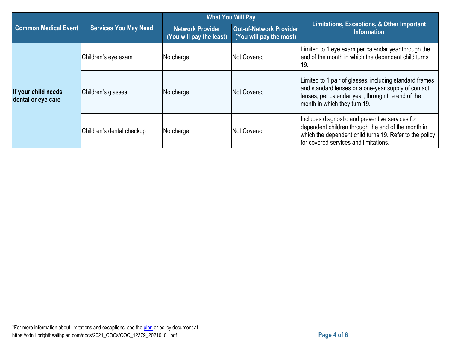|                                           | <b>Services You May Need</b> | <b>What You Will Pay</b>                            |                                                           |                                                                                                                                                                                                           |
|-------------------------------------------|------------------------------|-----------------------------------------------------|-----------------------------------------------------------|-----------------------------------------------------------------------------------------------------------------------------------------------------------------------------------------------------------|
| <b>Common Medical Event</b>               |                              | <b>Network Provider</b><br>(You will pay the least) | <b>Out-of-Network Provider</b><br>(You will pay the most) | Limitations, Exceptions, & Other Important<br><b>Information</b>                                                                                                                                          |
| If your child needs<br>dental or eye care | Children's eye exam          | No charge                                           | Not Covered                                               | imited to 1 eye exam per calendar year through the<br>end of the month in which the dependent child turns<br>19.                                                                                          |
|                                           | Children's glasses           | No charge                                           | Not Covered                                               | Limited to 1 pair of glasses, including standard frames<br>and standard lenses or a one-year supply of contact<br>lenses, per calendar year, through the end of the<br>month in which they turn 19.       |
|                                           | Children's dental checkup    | No charge                                           | Not Covered                                               | Includes diagnostic and preventive services for<br>dependent children through the end of the month in<br>which the dependent child turns 19. Refer to the policy<br>for covered services and limitations. |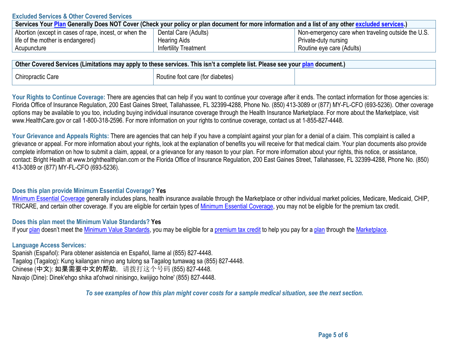#### **Excluded Services & Other Covered Services**

| Services Your Plan Generally Does NOT Cover (Check your policy or plan document for more information and a list of any other excluded services.) |                       |                                                    |  |
|--------------------------------------------------------------------------------------------------------------------------------------------------|-----------------------|----------------------------------------------------|--|
| Abortion (except in cases of rape, incest, or when the                                                                                           | Dental Care (Adults)  | Non-emergency care when traveling outside the U.S. |  |
| life of the mother is endangered)                                                                                                                | <b>Hearing Aids</b>   | Private-duty nursing                               |  |
| Acupuncture                                                                                                                                      | Infertility Treatment | Routine eye care (Adults)                          |  |

| Other Covered Services (Limitations may apply to these services. This isn't a complete list. Please see your <u>plan</u> document.) |                                  |  |  |
|-------------------------------------------------------------------------------------------------------------------------------------|----------------------------------|--|--|
| <b>Chiropractic Care</b>                                                                                                            | Routine foot care (for diabetes) |  |  |

Your Rights to Continue Coverage: There are agencies that can help if you want to continue your coverage after it ends. The contact information for those agencies is: Florida Office of Insurance Regulation, 200 East Gaines Street, Tallahassee, FL 32399-4288, Phone No. (850) 413-3089 or (877) MY-FL-CFO (693-5236). Other coverage options may be available to you too, including buying individual insurance coverage through the Health Insurance Marketplace. For more about the Marketplace, visit www.HealthCare.gov or call 1-800-318-2596. For more information on your rights to continue coverage, contact us at 1-855-827-4448.

Your Grievance and Appeals Rights: There are agencies that can help if you have a complaint against your plan for a denial of a claim. This complaint is called a grievance or appeal. For more information about your rights, look at the explanation of benefits you will receive for that medical claim. Your plan documents also provide complete information on how to submit a claim, appeal, or a grievance for any reason to your plan. For more information about your rights, this notice, or assistance, contact: Bright Health at www.brighthealthplan.com or the Florida Office of Insurance Regulation, 200 East Gaines Street, Tallahassee, FL 32399-4288, Phone No. (850) 413-3089 or (877) MY-FL-CFO (693-5236).

#### **Does this plan provide Minimum Essential Coverage? Yes**

[Minimum Essential Coverage](https://www.healthcare.gov/sbc-glossary/#minimum-essential-coverage) generally includes plans, health insurance available through the Marketplace or other individual market policies, Medicare, Medicaid, CHIP, TRICARE, and certain other coverage. If you are eligible for certain types of [Minimum Essential Coverage,](https://www.healthcare.gov/sbc-glossary/#minimum-essential-coverage) you may not be eligible for the premium tax credit.

**Does this plan meet the Minimum Value Standards? Yes**

If you[r plan](https://www.healthcare.gov/sbc-glossary/#plan) doesn't meet the [Minimum Value Standards,](https://www.healthcare.gov/sbc-glossary/#minimum-value-standard) you may be eligible for a [premium tax credit](https://www.healthcare.gov/sbc-glossary/#premium-tax-credits) to help you pay for a [plan](https://www.healthcare.gov/sbc-glossary/#plan) through the Marketplace.

#### **Language Access Services:**

Spanish (Español): Para obtener asistencia en Español, llame al (855) 827-4448. Tagalog (Tagalog): Kung kailangan ninyo ang tulong sa Tagalog tumawag sa (855) 827-4448. Chinese (中文): 如果需要中文的帮助,请拨打这个号码 (855) 827-4448. Navajo (Dine): Dinek'ehgo shika at'ohwol ninisingo, kwiijigo holne' (855) 827-4448.

*To see examples of how this plan might cover costs for a sample medical situation, see the next section.*